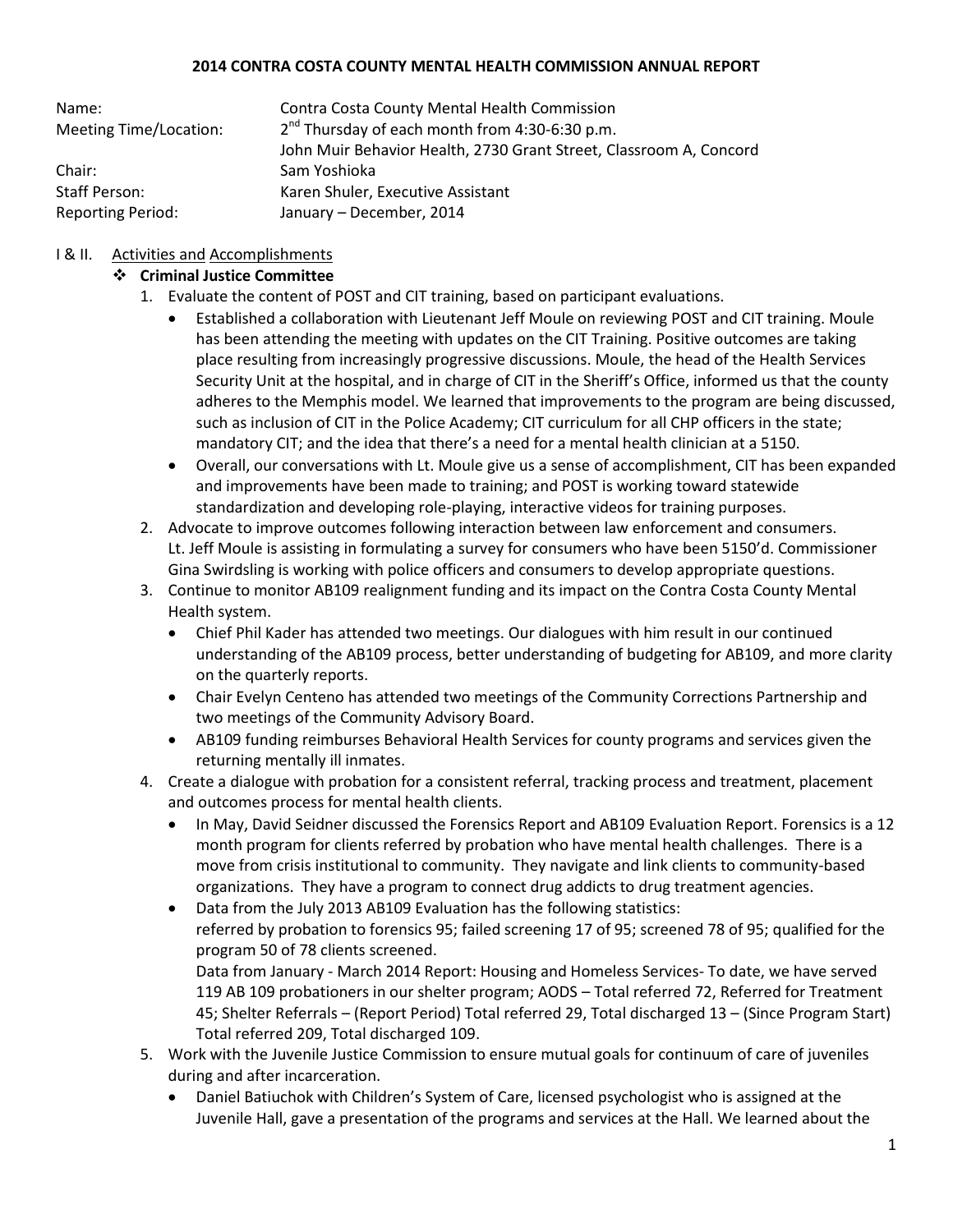#### **2014 CONTRA COSTA COUNTY MENTAL HEALTH COMMISSION ANNUAL REPORT**

| Name:                    | <b>Contra Costa County Mental Health Commission</b>                |
|--------------------------|--------------------------------------------------------------------|
| Meeting Time/Location:   | $2nd$ Thursday of each month from 4:30-6:30 p.m.                   |
|                          | John Muir Behavior Health, 2730 Grant Street, Classroom A, Concord |
| Chair:                   | Sam Yoshioka                                                       |
| Staff Person:            | Karen Shuler, Executive Assistant                                  |
| <b>Reporting Period:</b> | January - December, 2014                                           |

## I & II. Activities and Accomplishments

### **Criminal Justice Committee**

- 1. Evaluate the content of POST and CIT training, based on participant evaluations.
	- Established a collaboration with Lieutenant Jeff Moule on reviewing POST and CIT training. Moule has been attending the meeting with updates on the CIT Training. Positive outcomes are taking place resulting from increasingly progressive discussions. Moule, the head of the Health Services Security Unit at the hospital, and in charge of CIT in the Sheriff's Office, informed us that the county adheres to the Memphis model. We learned that improvements to the program are being discussed, such as inclusion of CIT in the Police Academy; CIT curriculum for all CHP officers in the state; mandatory CIT; and the idea that there's a need for a mental health clinician at a 5150.
	- Overall, our conversations with Lt. Moule give us a sense of accomplishment, CIT has been expanded and improvements have been made to training; and POST is working toward statewide standardization and developing role-playing, interactive videos for training purposes.
- 2. Advocate to improve outcomes following interaction between law enforcement and consumers. Lt. Jeff Moule is assisting in formulating a survey for consumers who have been 5150'd. Commissioner Gina Swirdsling is working with police officers and consumers to develop appropriate questions.
- 3. Continue to monitor AB109 realignment funding and its impact on the Contra Costa County Mental Health system.
	- Chief Phil Kader has attended two meetings. Our dialogues with him result in our continued understanding of the AB109 process, better understanding of budgeting for AB109, and more clarity on the quarterly reports.
	- Chair Evelyn Centeno has attended two meetings of the Community Corrections Partnership and two meetings of the Community Advisory Board.
	- AB109 funding reimburses Behavioral Health Services for county programs and services given the returning mentally ill inmates.
- 4. Create a dialogue with probation for a consistent referral, tracking process and treatment, placement and outcomes process for mental health clients.
	- In May, David Seidner discussed the Forensics Report and AB109 Evaluation Report. Forensics is a 12 month program for clients referred by probation who have mental health challenges. There is a move from crisis institutional to community. They navigate and link clients to community-based organizations. They have a program to connect drug addicts to drug treatment agencies.
	- Data from the July 2013 AB109 Evaluation has the following statistics: referred by probation to forensics 95; failed screening 17 of 95; screened 78 of 95; qualified for the program 50 of 78 clients screened.

Data from January - March 2014 Report: Housing and Homeless Services- To date, we have served 119 AB 109 probationers in our shelter program; AODS – Total referred 72, Referred for Treatment 45; Shelter Referrals – (Report Period) Total referred 29, Total discharged 13 – (Since Program Start) Total referred 209, Total discharged 109.

- 5. Work with the Juvenile Justice Commission to ensure mutual goals for continuum of care of juveniles during and after incarceration.
	- Daniel Batiuchok with Children's System of Care, licensed psychologist who is assigned at the Juvenile Hall, gave a presentation of the programs and services at the Hall. We learned about the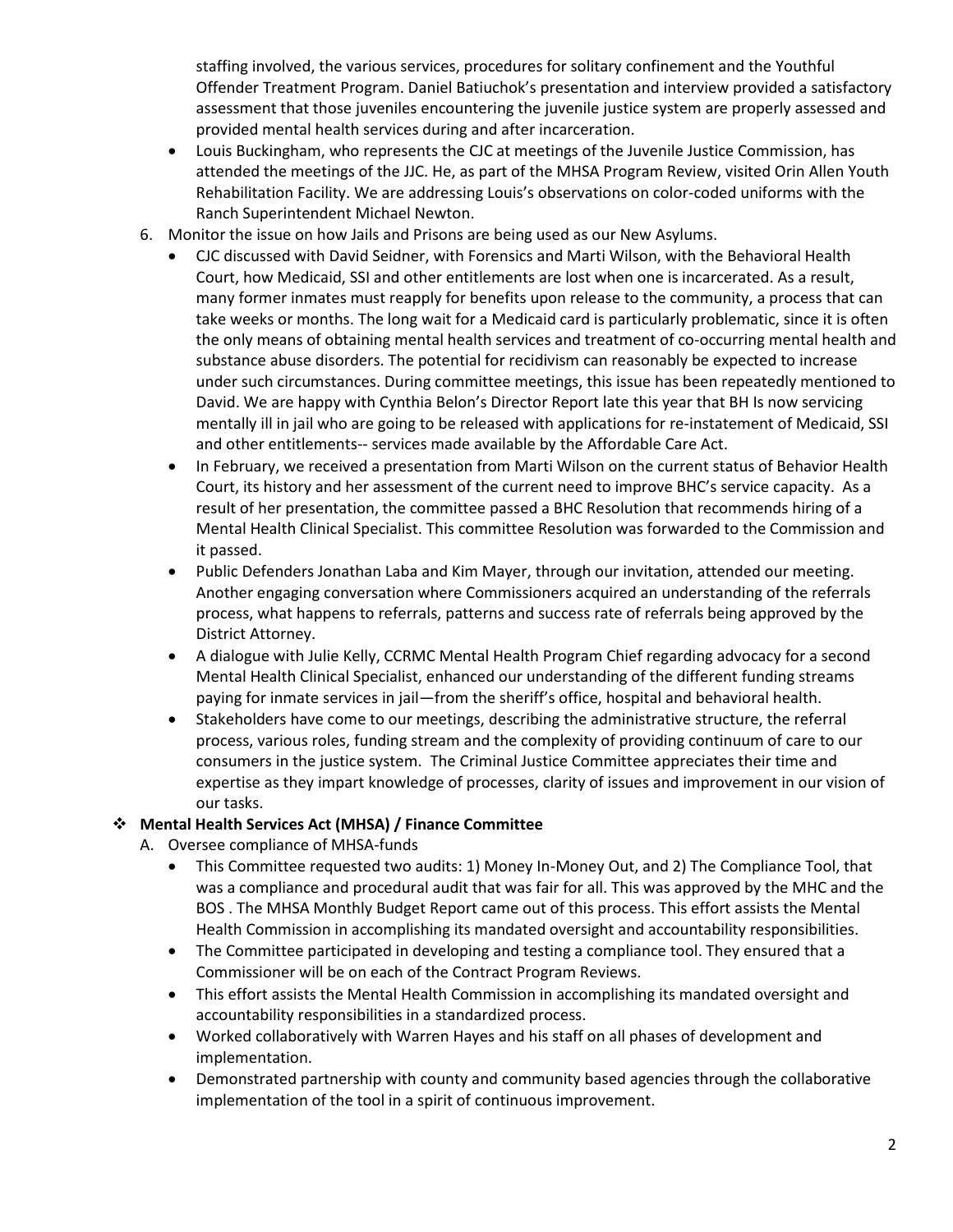staffing involved, the various services, procedures for solitary confinement and the Youthful Offender Treatment Program. Daniel Batiuchok's presentation and interview provided a satisfactory assessment that those juveniles encountering the juvenile justice system are properly assessed and provided mental health services during and after incarceration.

- Louis Buckingham, who represents the CJC at meetings of the Juvenile Justice Commission, has attended the meetings of the JJC. He, as part of the MHSA Program Review, visited Orin Allen Youth Rehabilitation Facility. We are addressing Louis's observations on color-coded uniforms with the Ranch Superintendent Michael Newton.
- 6. Monitor the issue on how Jails and Prisons are being used as our New Asylums.
	- CJC discussed with David Seidner, with Forensics and Marti Wilson, with the Behavioral Health Court, how Medicaid, SSI and other entitlements are lost when one is incarcerated. As a result, many former inmates must reapply for benefits upon release to the community, a process that can take weeks or months. The long wait for a Medicaid card is particularly problematic, since it is often the only means of obtaining mental health services and treatment of co-occurring mental health and substance abuse disorders. The potential for recidivism can reasonably be expected to increase under such circumstances. During committee meetings, this issue has been repeatedly mentioned to David. We are happy with Cynthia Belon's Director Report late this year that BH Is now servicing mentally ill in jail who are going to be released with applications for re-instatement of Medicaid, SSI and other entitlements-- services made available by the Affordable Care Act.
	- In February, we received a presentation from Marti Wilson on the current status of Behavior Health Court, its history and her assessment of the current need to improve BHC's service capacity. As a result of her presentation, the committee passed a BHC Resolution that recommends hiring of a Mental Health Clinical Specialist. This committee Resolution was forwarded to the Commission and it passed.
	- Public Defenders Jonathan Laba and Kim Mayer, through our invitation, attended our meeting. Another engaging conversation where Commissioners acquired an understanding of the referrals process, what happens to referrals, patterns and success rate of referrals being approved by the District Attorney.
	- A dialogue with Julie Kelly, CCRMC Mental Health Program Chief regarding advocacy for a second Mental Health Clinical Specialist, enhanced our understanding of the different funding streams paying for inmate services in jail—from the sheriff's office, hospital and behavioral health.
	- Stakeholders have come to our meetings, describing the administrative structure, the referral process, various roles, funding stream and the complexity of providing continuum of care to our consumers in the justice system. The Criminal Justice Committee appreciates their time and expertise as they impart knowledge of processes, clarity of issues and improvement in our vision of our tasks.

## **Mental Health Services Act (MHSA) / Finance Committee**

- A. Oversee compliance of MHSA-funds
	- This Committee requested two audits: 1) Money In-Money Out, and 2) The Compliance Tool, that was a compliance and procedural audit that was fair for all. This was approved by the MHC and the BOS . The MHSA Monthly Budget Report came out of this process. This effort assists the Mental Health Commission in accomplishing its mandated oversight and accountability responsibilities.
	- The Committee participated in developing and testing a compliance tool. They ensured that a Commissioner will be on each of the Contract Program Reviews.
	- This effort assists the Mental Health Commission in accomplishing its mandated oversight and accountability responsibilities in a standardized process.
	- Worked collaboratively with Warren Hayes and his staff on all phases of development and implementation.
	- Demonstrated partnership with county and community based agencies through the collaborative implementation of the tool in a spirit of continuous improvement.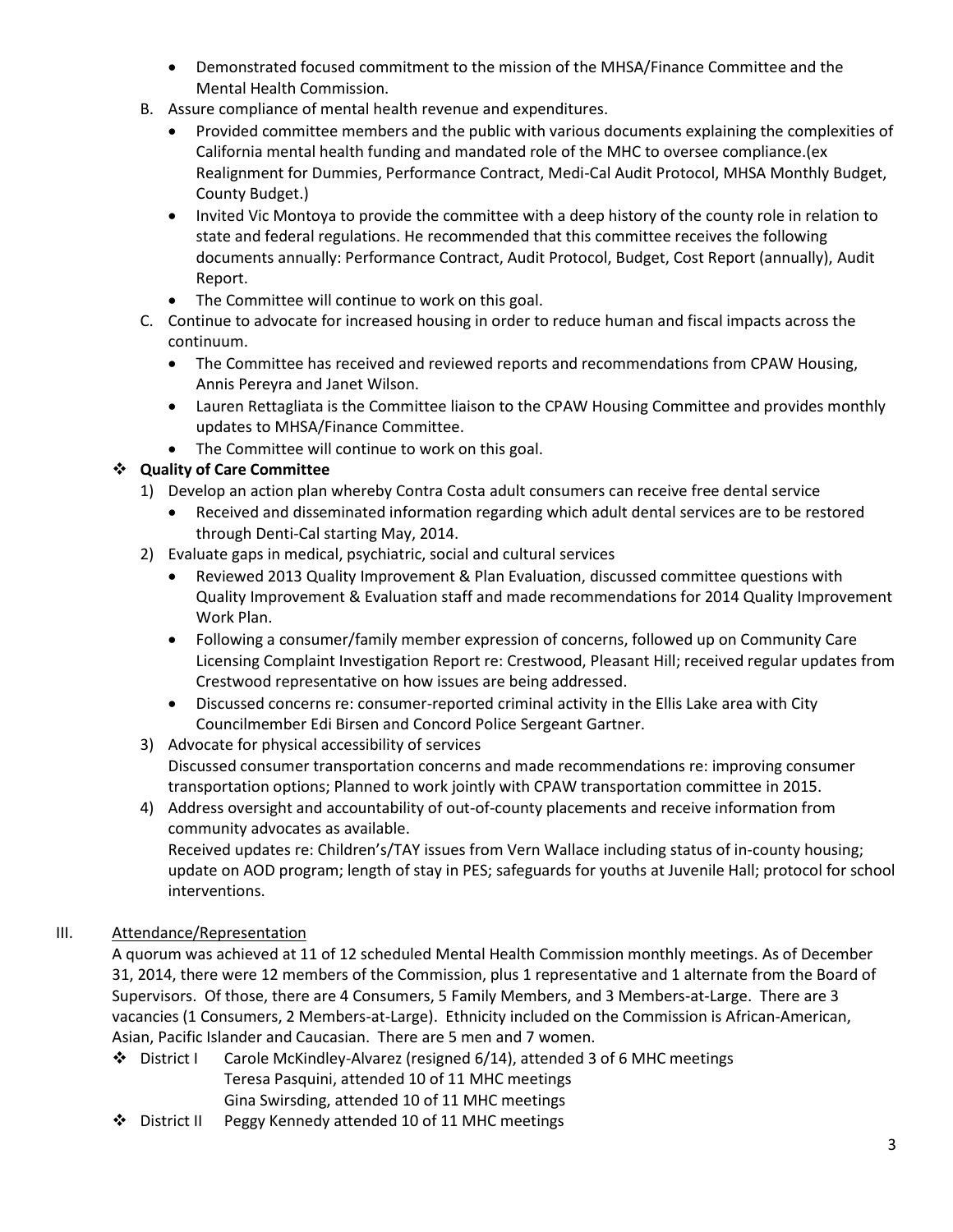- Demonstrated focused commitment to the mission of the MHSA/Finance Committee and the Mental Health Commission.
- B. Assure compliance of mental health revenue and expenditures.
	- Provided committee members and the public with various documents explaining the complexities of California mental health funding and mandated role of the MHC to oversee compliance.(ex Realignment for Dummies, Performance Contract, Medi-Cal Audit Protocol, MHSA Monthly Budget, County Budget.)
	- Invited Vic Montoya to provide the committee with a deep history of the county role in relation to state and federal regulations. He recommended that this committee receives the following documents annually: Performance Contract, Audit Protocol, Budget, Cost Report (annually), Audit Report.
	- The Committee will continue to work on this goal.
- C. Continue to advocate for increased housing in order to reduce human and fiscal impacts across the continuum.
	- The Committee has received and reviewed reports and recommendations from CPAW Housing, Annis Pereyra and Janet Wilson.
	- Lauren Rettagliata is the Committee liaison to the CPAW Housing Committee and provides monthly updates to MHSA/Finance Committee.
	- The Committee will continue to work on this goal.

# **Quality of Care Committee**

- 1) Develop an action plan whereby Contra Costa adult consumers can receive free dental service
	- Received and disseminated information regarding which adult dental services are to be restored through Denti-Cal starting May, 2014.
- 2) Evaluate gaps in medical, psychiatric, social and cultural services
	- Reviewed 2013 Quality Improvement & Plan Evaluation, discussed committee questions with Quality Improvement & Evaluation staff and made recommendations for 2014 Quality Improvement Work Plan.
	- Following a consumer/family member expression of concerns, followed up on Community Care Licensing Complaint Investigation Report re: Crestwood, Pleasant Hill; received regular updates from Crestwood representative on how issues are being addressed.
	- Discussed concerns re: consumer-reported criminal activity in the Ellis Lake area with City Councilmember Edi Birsen and Concord Police Sergeant Gartner.
- 3) Advocate for physical accessibility of services Discussed consumer transportation concerns and made recommendations re: improving consumer transportation options; Planned to work jointly with CPAW transportation committee in 2015.
- 4) Address oversight and accountability of out-of-county placements and receive information from community advocates as available. Received updates re: Children's/TAY issues from Vern Wallace including status of in-county housing;

update on AOD program; length of stay in PES; safeguards for youths at Juvenile Hall; protocol for school interventions.

# III. Attendance/Representation

A quorum was achieved at 11 of 12 scheduled Mental Health Commission monthly meetings. As of December 31, 2014, there were 12 members of the Commission, plus 1 representative and 1 alternate from the Board of Supervisors. Of those, there are 4 Consumers, 5 Family Members, and 3 Members-at-Large. There are 3 vacancies (1 Consumers, 2 Members-at-Large). Ethnicity included on the Commission is African-American, Asian, Pacific Islander and Caucasian. There are 5 men and 7 women.

- District I Carole McKindley-Alvarez (resigned 6/14), attended 3 of 6 MHC meetings Teresa Pasquini, attended 10 of 11 MHC meetings Gina Swirsding, attended 10 of 11 MHC meetings
- District II Peggy Kennedy attended 10 of 11 MHC meetings